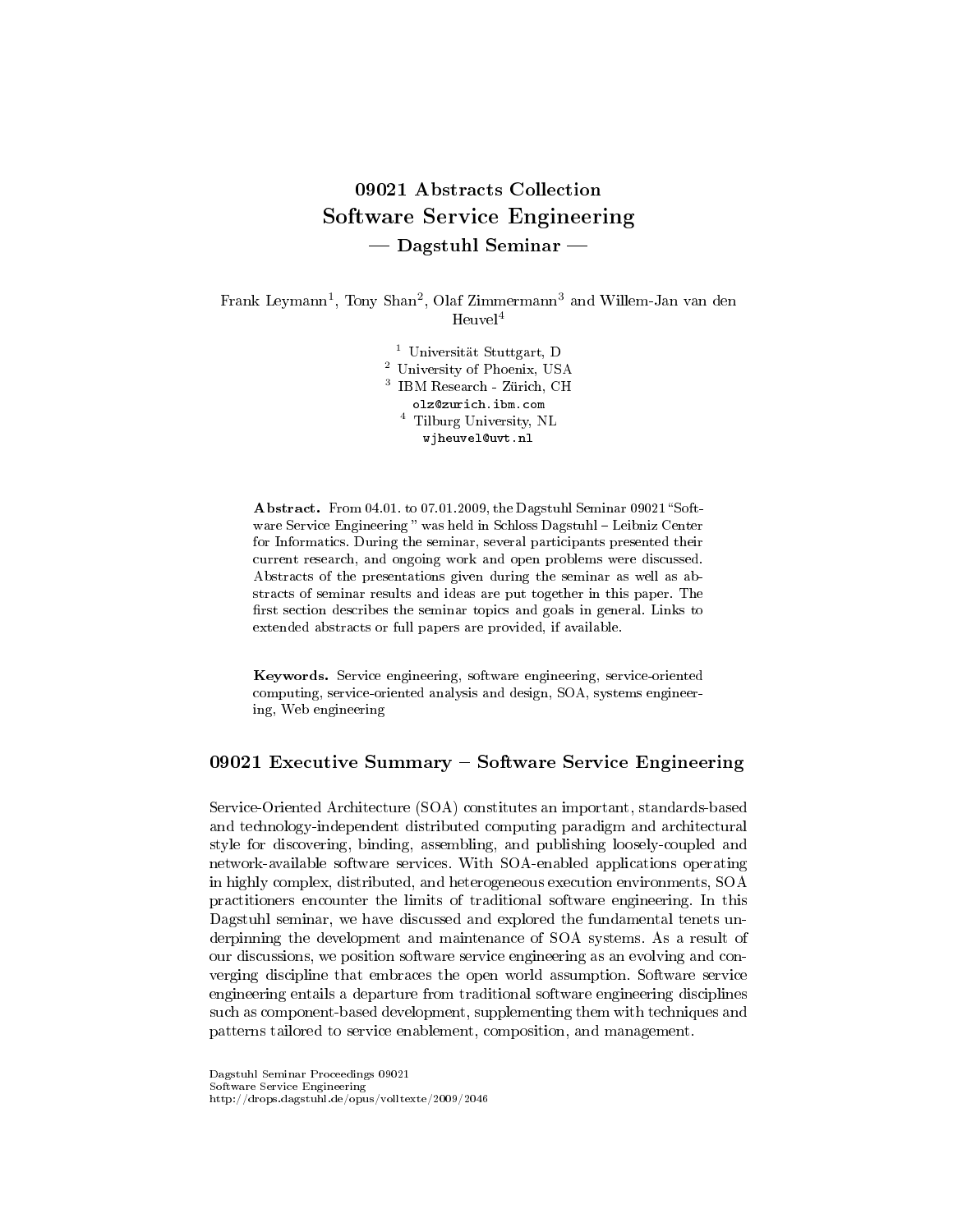# 09021 Abstracts Collection Software Service Engineering  $-$  Dagstuhl Seminar  $-$

Frank Leymann<sup>1</sup>, Tony Shan<sup>2</sup>, Olaf Zimmermann<sup>3</sup> and Willem-Jan van den  $Heuvel<sup>4</sup>$ 

> Universität Stuttgart, D University of Phoenix, USA IBM Research - Zürich, CH olz@zurich.ibm.com Tilburg University, NL wjheuvel@uvt.nl

Abstract. From 04.01. to 07.01.2009, the Dagstuhl Seminar 09021 "Software Service Engineering " was held in Schloss Dagstuhl - Leibniz Center for Informatics. During the seminar, several participants presented their current research, and ongoing work and open problems were discussed. Abstracts of the presentations given during the seminar as well as abstracts of seminar results and ideas are put together in this paper. The first section describes the seminar topics and goals in general. Links to extended abstracts or full papers are provided, if available.

Keywords. Service engineering, software engineering, service-oriented computing, service-oriented analysis and design, SOA, systems engineering, Web engineering

# 09021 Executive Summary  $-$  Software Service Engineering

Service-Oriented Architecture (SOA) constitutes an important, standards-based and technology-independent distributed computing paradigm and architectural style for discovering, binding, assembling, and publishing loosely-coupled and network-available software services. With SOA-enabled applications operating in highly complex, distributed, and heterogeneous execution environments, SOA practitioners encounter the limits of traditional software engineering. In this Dagstuhl seminar, we have discussed and explored the fundamental tenets underpinning the development and maintenance of SOA systems. As a result of our discussions, we position software service engineering as an evolving and converging discipline that embraces the open world assumption. Software service engineering entails a departure from traditional software engineering disciplines such as component-based development, supplementing them with techniques and patterns tailored to service enablement, composition, and management.

Dagstuhl Seminar Proceedings 09021 Software Service Engineering http://drops.dagstuhl.de/opus/volltexte/2009/2046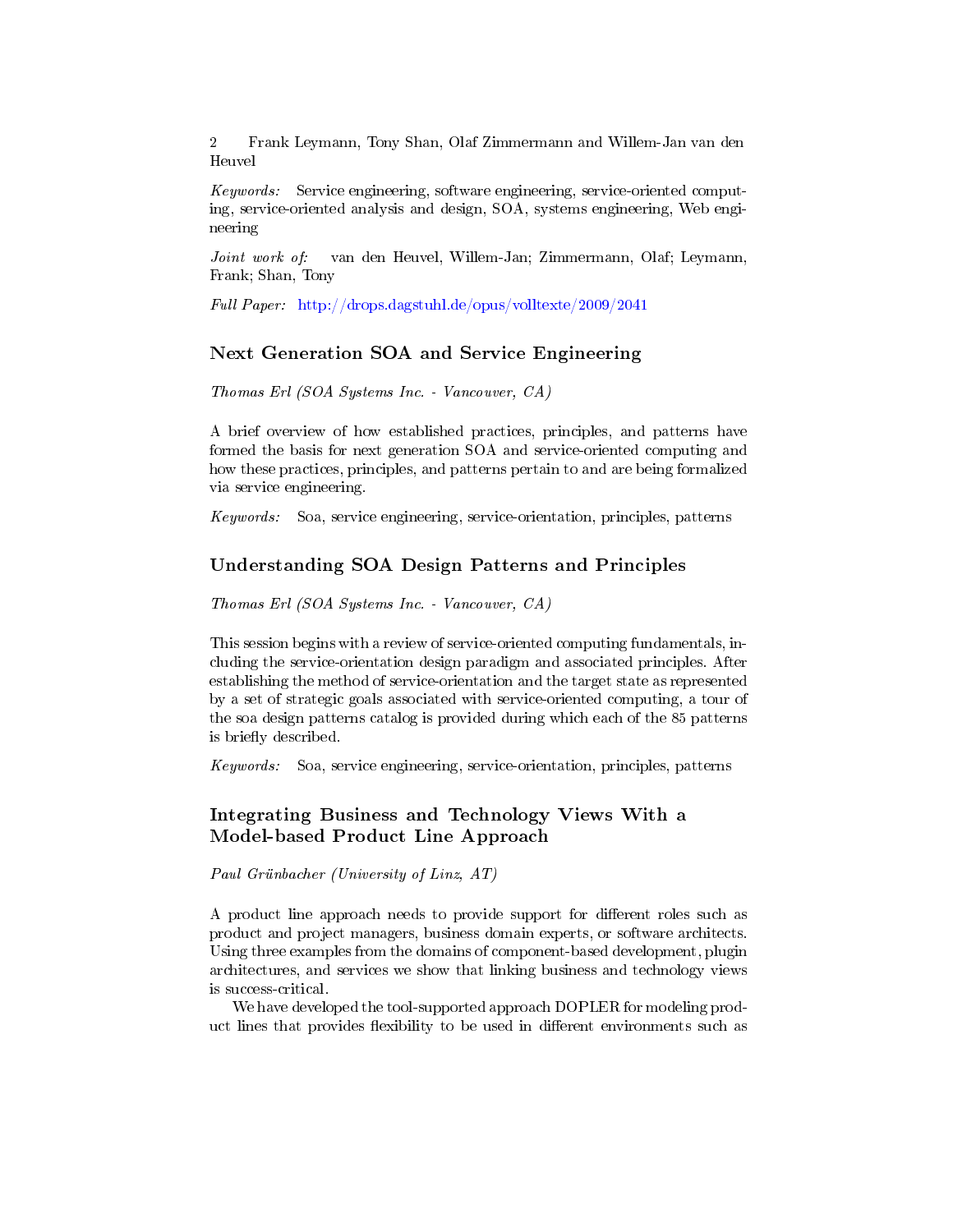Keywords: Service engineering, software engineering, service-oriented computing, service-oriented analysis and design, SOA, systems engineering, Web engineering

Joint work of: van den Heuvel, Willem-Jan; Zimmermann, Olaf; Leymann, Frank; Shan, Tony

Full Paper: <http://drops.dagstuhl.de/opus/volltexte/2009/2041>

### Next Generation SOA and Service Engineering

Thomas Erl (SOA Systems Inc. - Vancouver, CA)

A brief overview of how established practices, principles, and patterns have formed the basis for next generation SOA and service-oriented computing and how these practices, principles, and patterns pertain to and are being formalized via service engineering.

Keywords: Soa, service engineering, service-orientation, principles, patterns

### Understanding SOA Design Patterns and Principles

Thomas Erl (SOA Systems Inc. - Vancouver, CA)

This session begins with a review of service-oriented computing fundamentals, including the service-orientation design paradigm and associated principles. After establishing the method of service-orientation and the target state as represented by a set of strategic goals associated with service-oriented computing, a tour of the soa design patterns catalog is provided during which each of the 85 patterns is briefly described.

Keywords: Soa, service engineering, service-orientation, principles, patterns

# Integrating Business and Technology Views With a Model-based Product Line Approach

Paul Grünbacher (University of Linz, AT)

A product line approach needs to provide support for different roles such as product and project managers, business domain experts, or software architects. Using three examples from the domains of component-based development, plugin architectures, and services we show that linking business and technology views is success-critical.

We have developed the tool-supported approach DOPLER for modeling product lines that provides flexibility to be used in different environments such as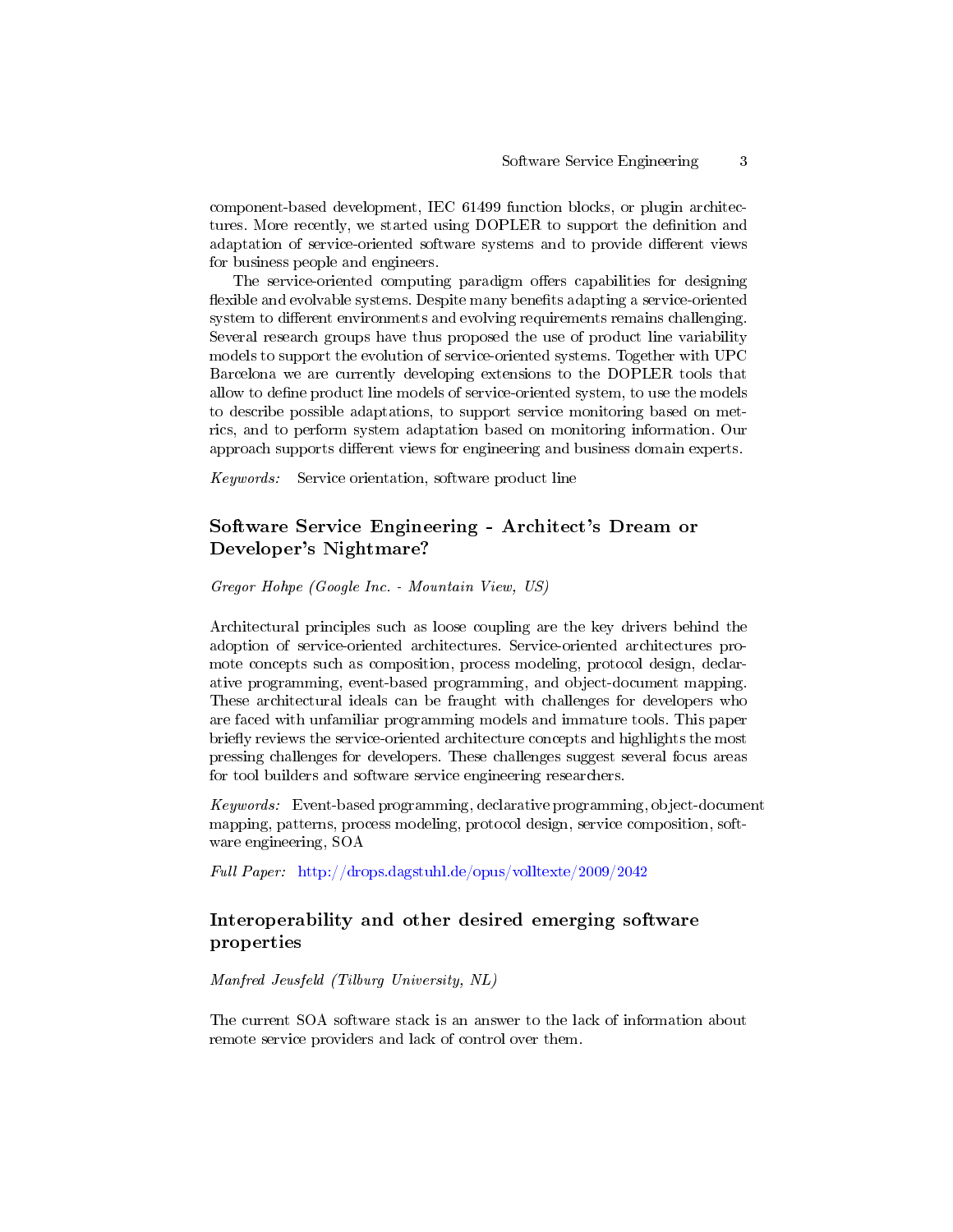component-based development, IEC 61499 function blocks, or plugin architectures. More recently, we started using DOPLER to support the definition and adaptation of service-oriented software systems and to provide different views for business people and engineers.

The service-oriented computing paradigm offers capabilities for designing flexible and evolvable systems. Despite many benefits adapting a service-oriented system to different environments and evolving requirements remains challenging. Several research groups have thus proposed the use of product line variability models to support the evolution of service-oriented systems. Together with UPC Barcelona we are currently developing extensions to the DOPLER tools that allow to define product line models of service-oriented system, to use the models to describe possible adaptations, to support service monitoring based on metrics, and to perform system adaptation based on monitoring information. Our approach supports different views for engineering and business domain experts.

Keywords: Service orientation, software product line

# Software Service Engineering - Architect's Dream or Developer's Nightmare?

Gregor Hohpe (Google Inc. - Mountain View, US)

Architectural principles such as loose coupling are the key drivers behind the adoption of service-oriented architectures. Service-oriented architectures promote concepts such as composition, process modeling, protocol design, declarative programming, event-based programming, and object-document mapping. These architectural ideals can be fraught with challenges for developers who are faced with unfamiliar programming models and immature tools. This paper briefly reviews the service-oriented architecture concepts and highlights the most pressing challenges for developers. These challenges suggest several focus areas for tool builders and software service engineering researchers.

Keywords: Event-based programming, declarative programming, object-document mapping, patterns, process modeling, protocol design, service composition, software engineering, SOA

Full Paper: <http://drops.dagstuhl.de/opus/volltexte/2009/2042>

# Interoperability and other desired emerging software properties

Manfred Jeusfeld (Tilburg University, NL)

The current SOA software stack is an answer to the lack of information about remote service providers and lack of control over them.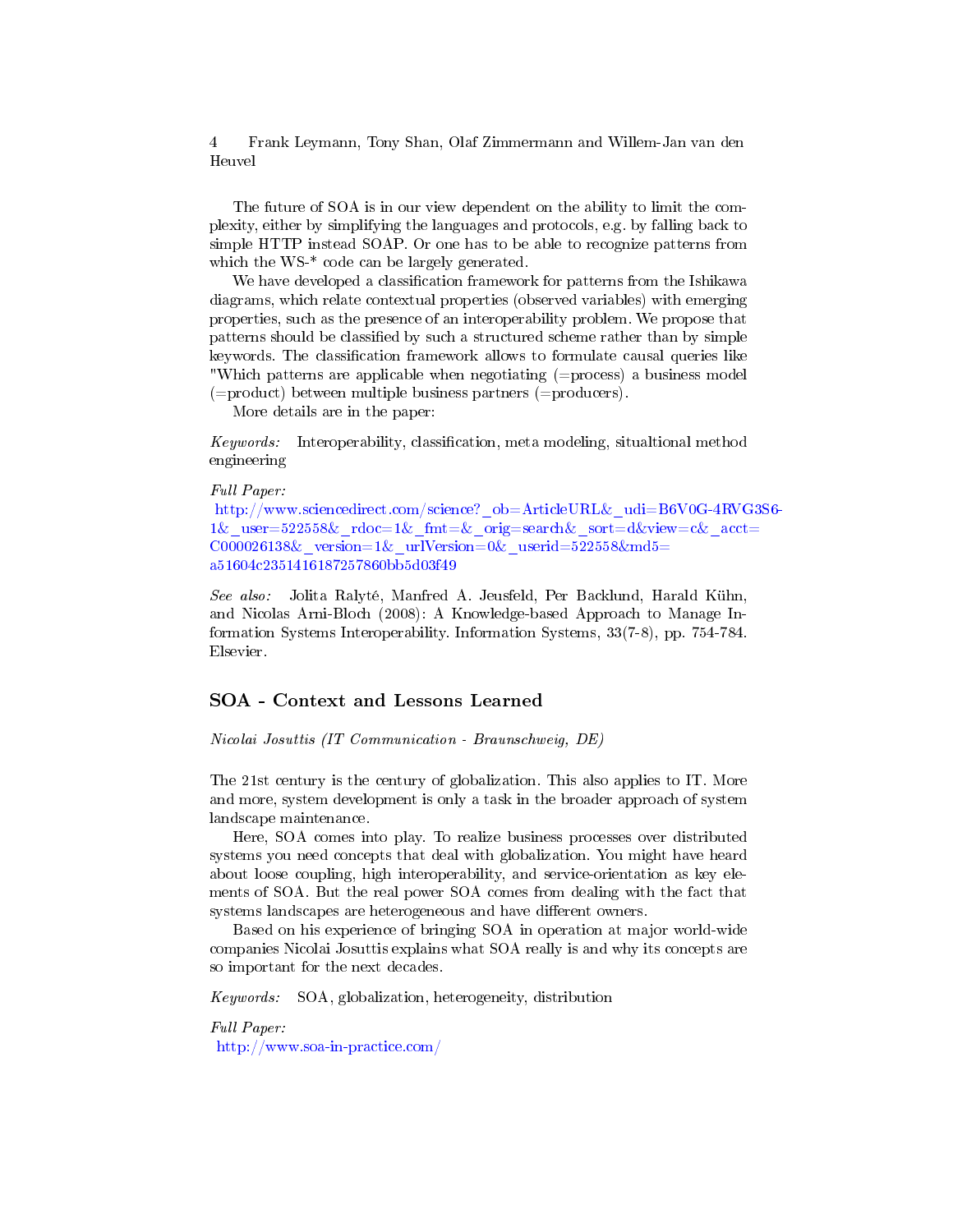The future of SOA is in our view dependent on the ability to limit the complexity, either by simplifying the languages and protocols, e.g. by falling back to simple HTTP instead SOAP. Or one has to be able to recognize patterns from which the WS-\* code can be largely generated.

We have developed a classification framework for patterns from the Ishikawa diagrams, which relate contextual properties (observed variables) with emerging properties, such as the presence of an interoperability problem. We propose that patterns should be classified by such a structured scheme rather than by simple keywords. The classification framework allows to formulate causal queries like "Which patterns are applicable when negotiating (=process) a business model (=product) between multiple business partners (=producers).

More details are in the paper:

Keywords: Interoperability, classification, meta modeling, situaltional method engineering

#### Full Paper:

[http://www.sciencedirect.com/science?\\_ob=ArticleURL](http://www.sciencedirect.com/science?_ob=ArticleURL&_udi=B6V0G-4RVG3S6-1&_user=522558&_rdoc=1&_fmt=&_orig=search&_sort=d&view=c&_acct=C000026138&_version=1&_urlVersion=0&_userid=522558&md5=a51604c2351416187257860bb5d03f49)&\_udi=B6V0G-4RVG3S6- 1& user=522558& rdoc=1& fmt=& orig=search& sort=d&view=c& acct= C000026138& version=1& urlVersion=0& userid=522558&md5= [a51604c2351416187257860bb5d03f49](http://www.sciencedirect.com/science?_ob=ArticleURL&_udi=B6V0G-4RVG3S6-1&_user=522558&_rdoc=1&_fmt=&_orig=search&_sort=d&view=c&_acct=C000026138&_version=1&_urlVersion=0&_userid=522558&md5=a51604c2351416187257860bb5d03f49)

See also: Jolita Ralyté, Manfred A. Jeusfeld, Per Backlund, Harald Kühn, and Nicolas Arni-Bloch (2008): A Knowledge-based Approach to Manage Information Systems Interoperability. Information Systems, 33(7-8), pp. 754-784. Elsevier.

### SOA - Context and Lessons Learned

Nicolai Josuttis (IT Communication - Braunschweig, DE)

The 21st century is the century of globalization. This also applies to IT. More and more, system development is only a task in the broader approach of system landscape maintenance.

Here, SOA comes into play. To realize business processes over distributed systems you need concepts that deal with globalization. You might have heard about loose coupling, high interoperability, and service-orientation as key elements of SOA. But the real power SOA comes from dealing with the fact that systems landscapes are heterogeneous and have different owners.

Based on his experience of bringing SOA in operation at major world-wide companies Nicolai Josuttis explains what SOA really is and why its concepts are so important for the next decades.

Keywords: SOA, globalization, heterogeneity, distribution

Full Paper: <http://www.soa-in-practice.com/>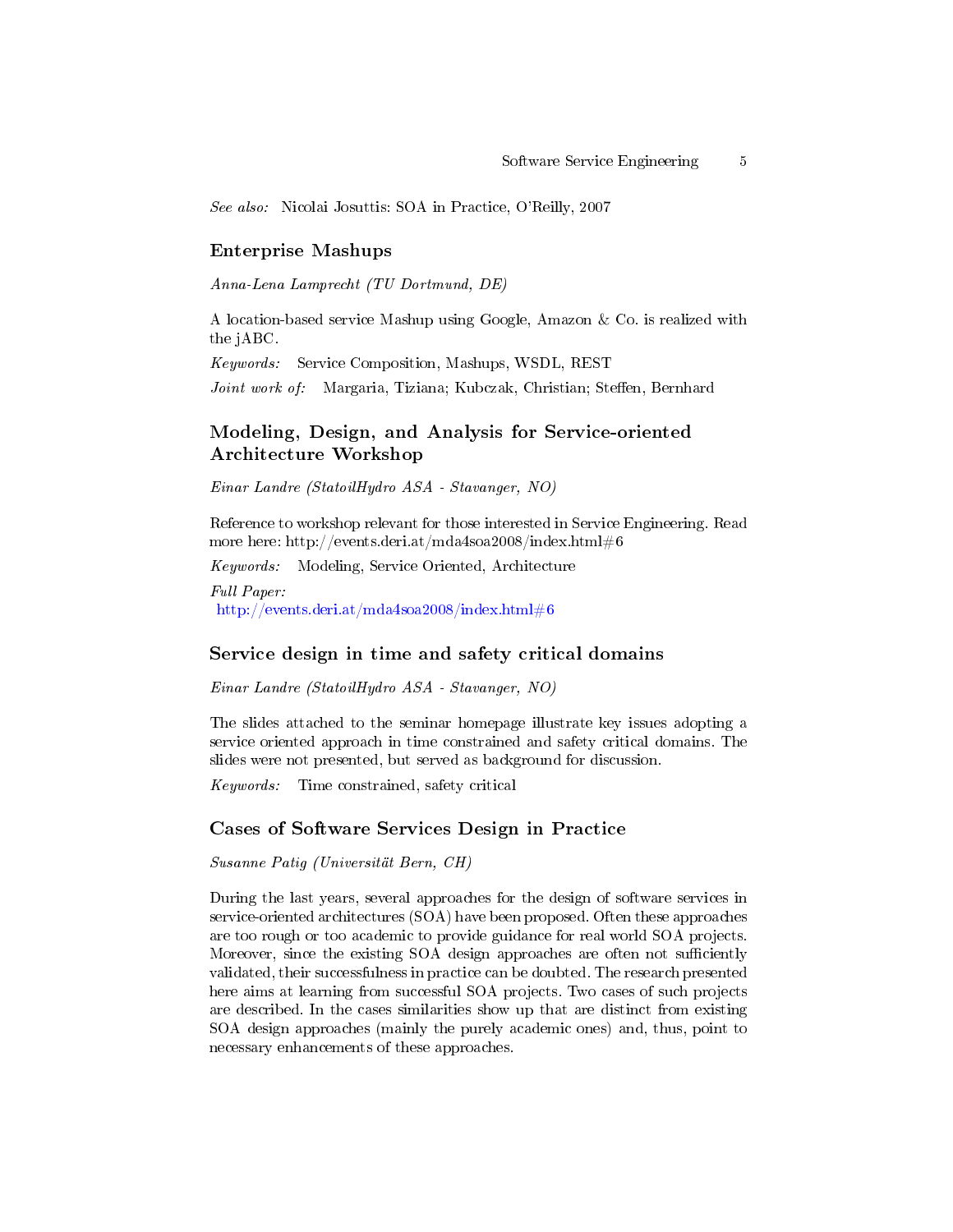See also: Nicolai Josuttis: SOA in Practice, O'Reilly, 2007

#### Enterprise Mashups

Anna-Lena Lamprecht (TU Dortmund, DE)

A location-based service Mashup using Google, Amazon & Co. is realized with the jABC.

Keywords: Service Composition, Mashups, WSDL, REST

Joint work of: Margaria, Tiziana; Kubczak, Christian; Steffen, Bernhard

## Modeling, Design, and Analysis for Service-oriented Architecture Workshop

Einar Landre (StatoilHydro ASA - Stavanger, NO)

Reference to workshop relevant for those interested in Service Engineering. Read more here: http://events.deri.at/mda4soa2008/index.html#6

Keywords: Modeling, Service Oriented, Architecture Full Paper: <http://events.deri.at/mda4soa2008/index.html#6>

#### Service design in time and safety critical domains

Einar Landre (StatoilHydro ASA - Stavanger, NO)

The slides attached to the seminar homepage illustrate key issues adopting a service oriented approach in time constrained and safety critical domains. The slides were not presented, but served as background for discussion.

Keywords: Time constrained, safety critical

#### Cases of Software Services Design in Practice

Susanne Patig (Universität Bern, CH)

During the last years, several approaches for the design of software services in service-oriented architectures (SOA) have been proposed. Often these approaches are too rough or too academic to provide guidance for real world SOA projects. Moreover, since the existing SOA design approaches are often not sufficiently validated, their successfulness in practice can be doubted. The research presented here aims at learning from successful SOA projects. Two cases of such projects are described. In the cases similarities show up that are distinct from existing SOA design approaches (mainly the purely academic ones) and, thus, point to necessary enhancements of these approaches.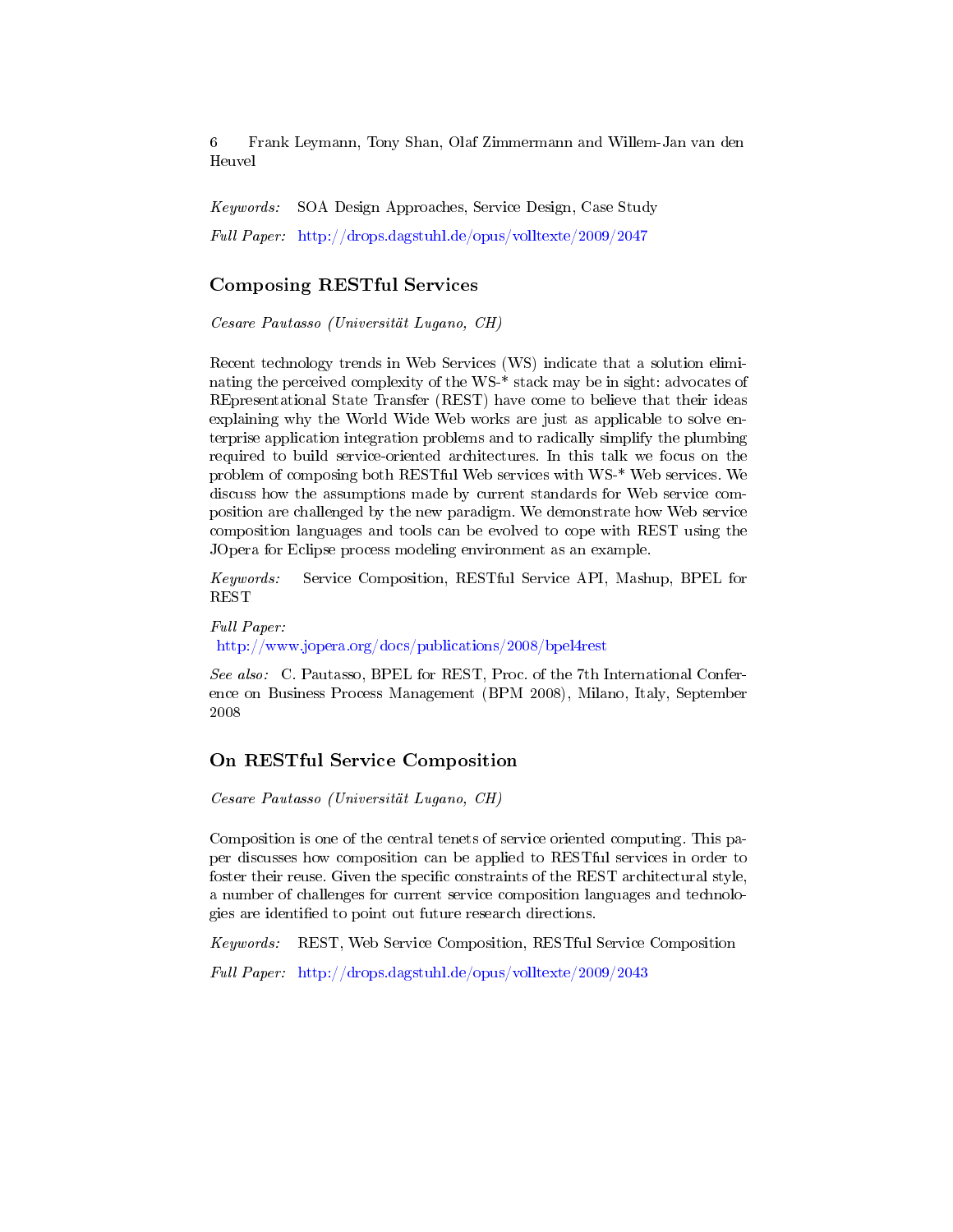Keywords: SOA Design Approaches, Service Design, Case Study Full Paper: <http://drops.dagstuhl.de/opus/volltexte/2009/2047>

### Composing RESTful Services

Cesare Pautasso (Universität Lugano, CH)

Recent technology trends in Web Services (WS) indicate that a solution eliminating the perceived complexity of the WS-\* stack may be in sight: advocates of REpresentational State Transfer (REST) have come to believe that their ideas explaining why the World Wide Web works are just as applicable to solve enterprise application integration problems and to radically simplify the plumbing required to build service-oriented architectures. In this talk we focus on the problem of composing both RESTful Web services with WS-\* Web services. We discuss how the assumptions made by current standards for Web service composition are challenged by the new paradigm. We demonstrate how Web service composition languages and tools can be evolved to cope with REST using the JOpera for Eclipse process modeling environment as an example.

Keywords: Service Composition, RESTful Service API, Mashup, BPEL for **REST** 

Full Paper: <http://www.jopera.org/docs/publications/2008/bpel4rest>

See also: C. Pautasso, BPEL for REST, Proc. of the 7th International Conference on Business Process Management (BPM 2008), Milano, Italy, September 2008

# On RESTful Service Composition

Cesare Pautasso (Universität Lugano, CH)

Composition is one of the central tenets of service oriented computing. This paper discusses how composition can be applied to RESTful services in order to foster their reuse. Given the specific constraints of the REST architectural style, a number of challenges for current service composition languages and technologies are identified to point out future research directions.

Keywords: REST, Web Service Composition, RESTful Service Composition

Full Paper: <http://drops.dagstuhl.de/opus/volltexte/2009/2043>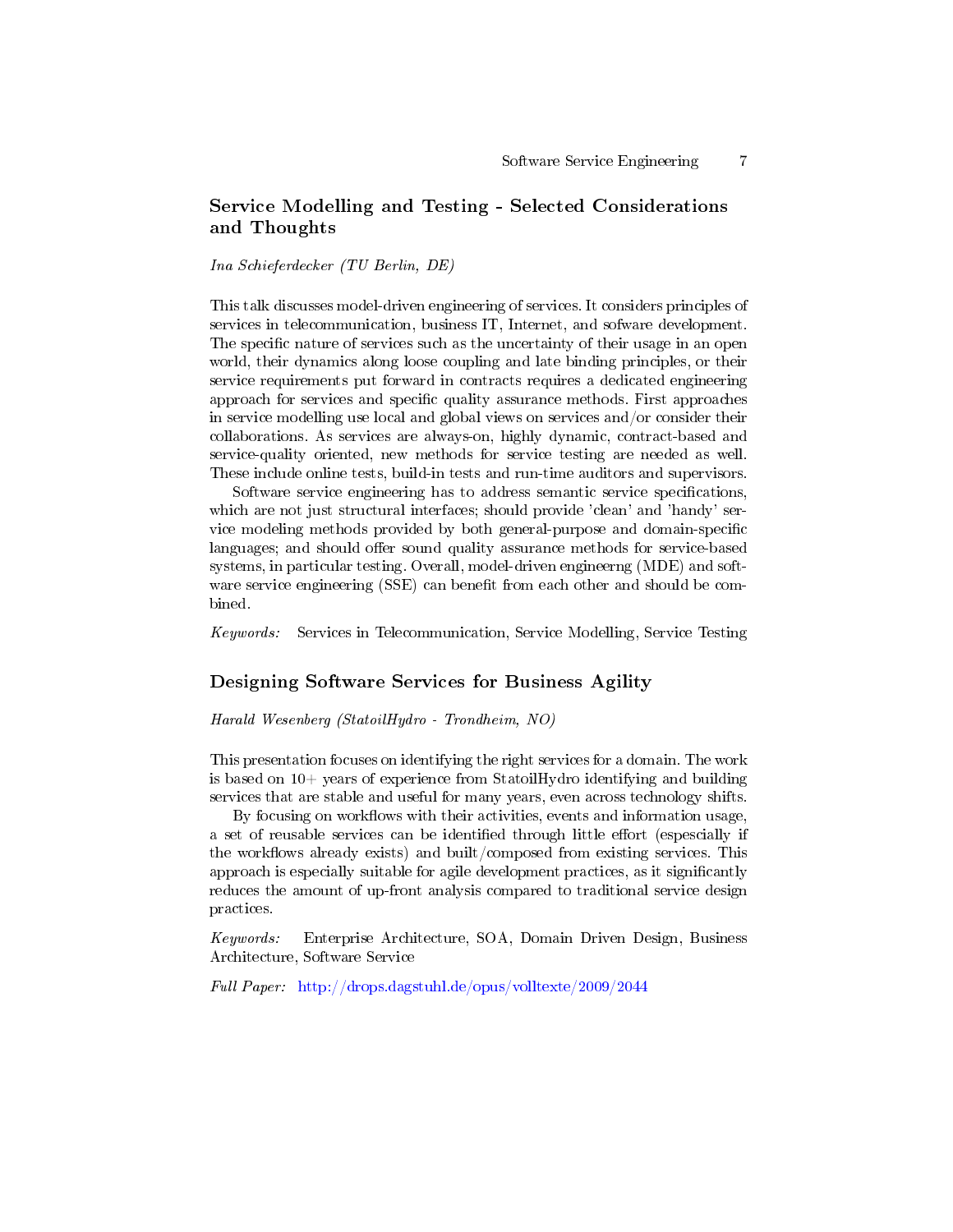# Service Modelling and Testing - Selected Considerations and Thoughts

Ina Schieferdecker (TU Berlin, DE)

This talk discusses model-driven engineering of services. It considers principles of services in telecommunication, business IT, Internet, and sofware development. The specific nature of services such as the uncertainty of their usage in an open world, their dynamics along loose coupling and late binding principles, or their service requirements put forward in contracts requires a dedicated engineering approach for services and specific quality assurance methods. First approaches in service modelling use local and global views on services and/or consider their collaborations. As services are always-on, highly dynamic, contract-based and service-quality oriented, new methods for service testing are needed as well. These include online tests, build-in tests and run-time auditors and supervisors.

Software service engineering has to address semantic service specifications, which are not just structural interfaces; should provide 'clean' and 'handy' service modeling methods provided by both general-purpose and domain-specific languages; and should offer sound quality assurance methods for service-based systems, in particular testing. Overall, model-driven engineerng (MDE) and software service engineering (SSE) can benefit from each other and should be combined.

Keywords: Services in Telecommunication, Service Modelling, Service Testing

### Designing Software Services for Business Agility

Harald Wesenberg (StatoilHydro - Trondheim, NO)

This presentation focuses on identifying the right services for a domain. The work is based on  $10+$  years of experience from StatoilHydro identifying and building services that are stable and useful for many years, even across technology shifts.

By focusing on workflows with their activities, events and information usage, a set of reusable services can be identified through little effort (espescially if the workflows already exists) and built/composed from existing services. This approach is especially suitable for agile development practices, as it significantly reduces the amount of up-front analysis compared to traditional service design practices.

Keywords: Enterprise Architecture, SOA, Domain Driven Design, Business Architecture, Software Service

Full Paper: <http://drops.dagstuhl.de/opus/volltexte/2009/2044>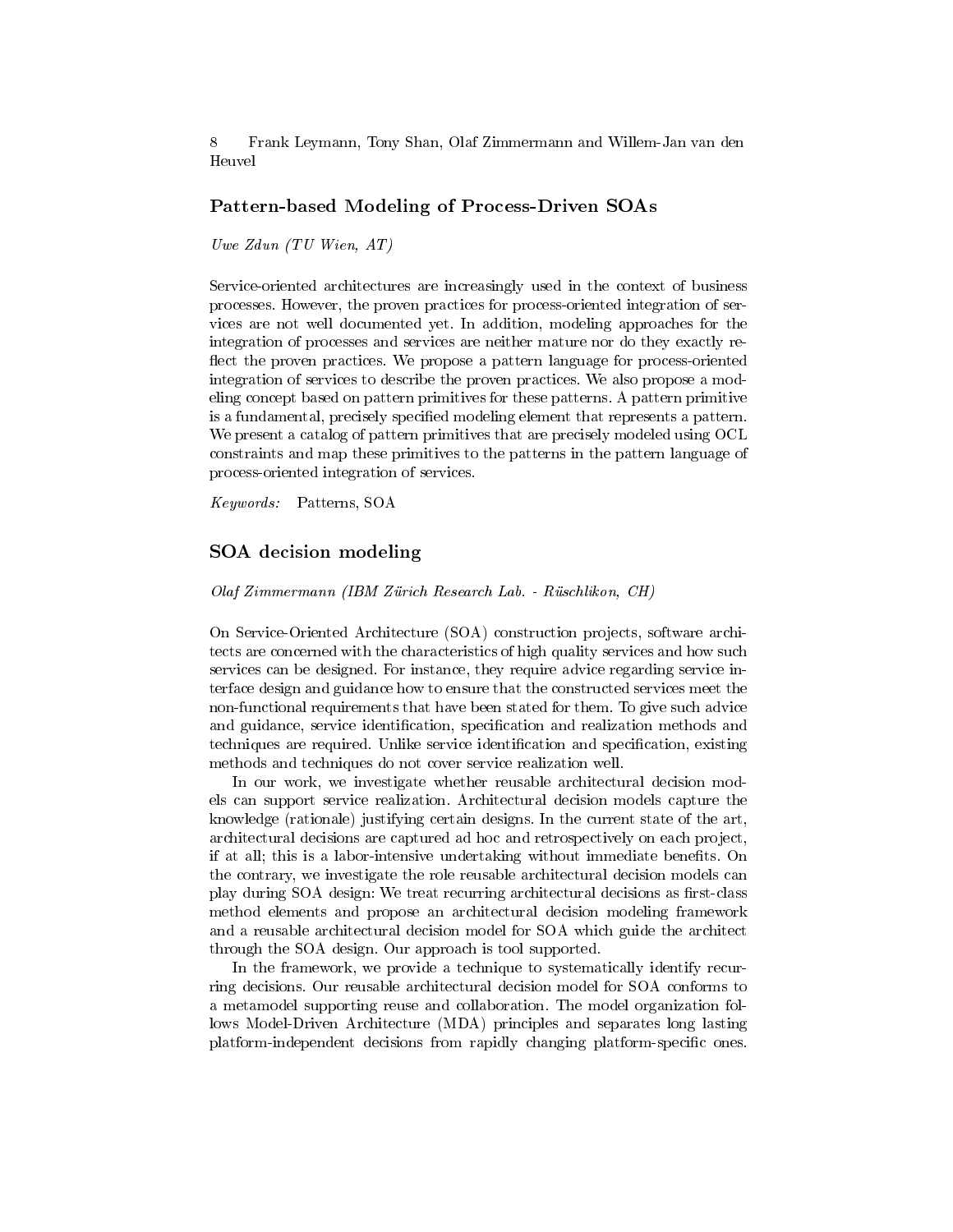## Pattern-based Modeling of Process-Driven SOAs

Uwe Zdun (TU Wien, AT)

Service-oriented architectures are increasingly used in the context of business processes. However, the proven practices for process-oriented integration of services are not well documented yet. In addition, modeling approaches for the integration of processes and services are neither mature nor do they exactly re flect the proven practices. We propose a pattern language for process-oriented integration of services to describe the proven practices. We also propose a modeling concept based on pattern primitives for these patterns. A pattern primitive is a fundamental, precisely specified modeling element that represents a pattern. We present a catalog of pattern primitives that are precisely modeled using OCL constraints and map these primitives to the patterns in the pattern language of process-oriented integration of services.

Keywords: Patterns, SOA

#### SOA decision modeling

Olaf Zimmermann (IBM Zürich Research Lab. - Rüschlikon, CH)

On Service-Oriented Architecture (SOA) construction projects, software architects are concerned with the characteristics of high quality services and how such services can be designed. For instance, they require advice regarding service interface design and guidance how to ensure that the constructed services meet the non-functional requirements that have been stated for them. To give such advice and guidance, service identification, specification and realization methods and techniques are required. Unlike service identification and specification, existing methods and techniques do not cover service realization well.

In our work, we investigate whether reusable architectural decision models can support service realization. Architectural decision models capture the knowledge (rationale) justifying certain designs. In the current state of the art, architectural decisions are captured ad hoc and retrospectively on each project, if at all; this is a labor-intensive undertaking without immediate benefits. On the contrary, we investigate the role reusable architectural decision models can play during SOA design: We treat recurring architectural decisions as first-class method elements and propose an architectural decision modeling framework and a reusable architectural decision model for SOA which guide the architect through the SOA design. Our approach is tool supported.

In the framework, we provide a technique to systematically identify recurring decisions. Our reusable architectural decision model for SOA conforms to a metamodel supporting reuse and collaboration. The model organization follows Model-Driven Architecture (MDA) principles and separates long lasting platform-independent decisions from rapidly changing platform-specific ones.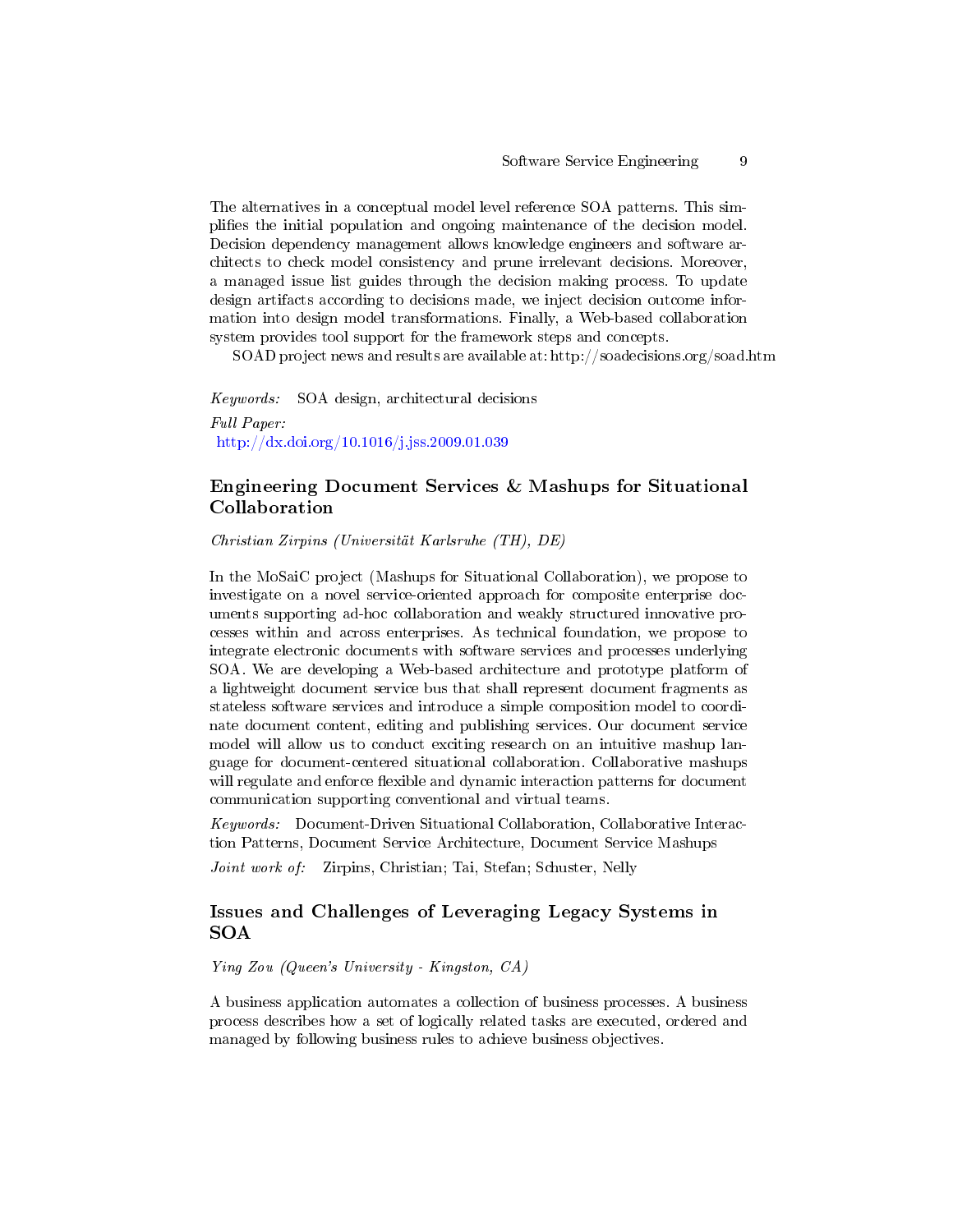The alternatives in a conceptual model level reference SOA patterns. This simplies the initial population and ongoing maintenance of the decision model. Decision dependency management allows knowledge engineers and software architects to check model consistency and prune irrelevant decisions. Moreover, a managed issue list guides through the decision making process. To update design artifacts according to decisions made, we inject decision outcome information into design model transformations. Finally, a Web-based collaboration system provides tool support for the framework steps and concepts.

SOAD project news and results are available at: http://soadecisions.org/soad.htm

Keywords: SOA design, architectural decisions Full Paper: <http://dx.doi.org/10.1016/j.jss.2009.01.039>

# Engineering Document Services & Mashups for Situational Collaboration

Christian Zirpins (Universität Karlsruhe (TH), DE)

In the MoSaiC project (Mashups for Situational Collaboration), we propose to investigate on a novel service-oriented approach for composite enterprise documents supporting ad-hoc collaboration and weakly structured innovative processes within and across enterprises. As technical foundation, we propose to integrate electronic documents with software services and processes underlying SOA. We are developing a Web-based architecture and prototype platform of a lightweight document service bus that shall represent document fragments as stateless software services and introduce a simple composition model to coordinate document content, editing and publishing services. Our document service model will allow us to conduct exciting research on an intuitive mashup language for document-centered situational collaboration. Collaborative mashups will regulate and enforce flexible and dynamic interaction patterns for document communication supporting conventional and virtual teams.

Keywords: Document-Driven Situational Collaboration, Collaborative Interaction Patterns, Document Service Architecture, Document Service Mashups

Joint work of: Zirpins, Christian; Tai, Stefan; Schuster, Nelly

## Issues and Challenges of Leveraging Legacy Systems in SOA

Ying Zou (Queen's University - Kingston, CA)

A business application automates a collection of business processes. A business process describes how a set of logically related tasks are executed, ordered and managed by following business rules to achieve business objectives.